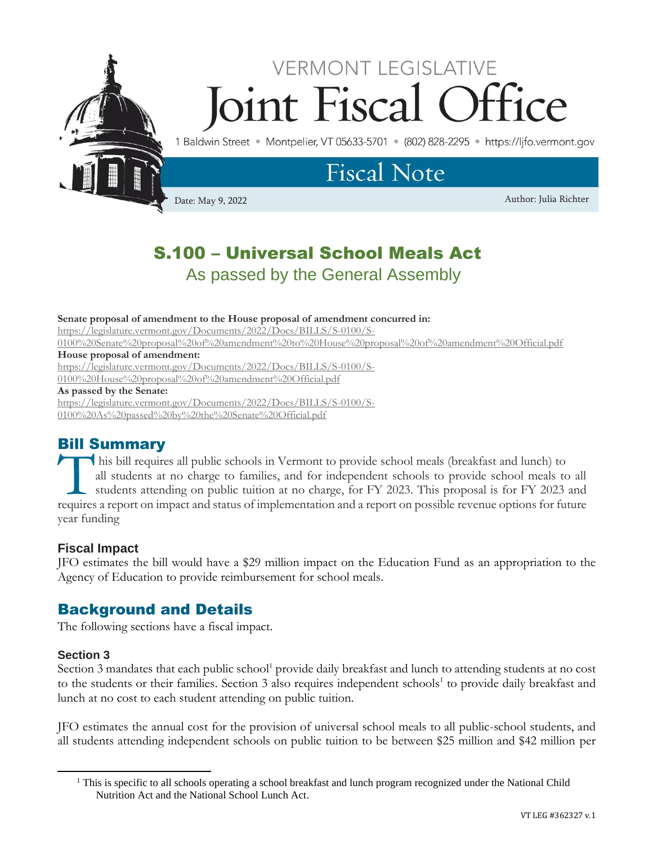

# **VERMONT LEGISLATIVE** Soint Fiscal fice

1 Baldwin Street · Montpelier, VT 05633-5701 · (802) 828-2295 · https://lifo.vermont.gov

# **Fiscal Note**

Date: May 9, 2022 Author: Julia Richter

## S.100 – Universal School Meals Act As passed by the General Assembly

#### **Senate proposal of amendment to the House proposal of amendment concurred in:**

[https://legislature.vermont.gov/Documents/2022/Docs/BILLS/S-0100/S-](https://legislature.vermont.gov/Documents/2022/Docs/BILLS/S-0100/S-0100%20Senate%20proposal%20of%20amendment%20to%20House%20proposal%20of%20amendment%20Official.pdf)

[0100%20Senate%20proposal%20of%20amendment%20to%20House%20proposal%20of%20amendment%20Official.pdf](https://legislature.vermont.gov/Documents/2022/Docs/BILLS/S-0100/S-0100%20Senate%20proposal%20of%20amendment%20to%20House%20proposal%20of%20amendment%20Official.pdf)

**House proposal of amendment:** 

https://legislature.vermont.gov/Documents/2022/Docs/BILLS/S-0100/S-

0100%20House%20proposal%20of%20amendment%20Official.pdf

#### **As passed by the Senate:**

[https://legislature.vermont.gov/Documents/2022/Docs/BILLS/S-0100/S-](https://legislature.vermont.gov/Documents/2022/Docs/BILLS/S-0100/S-0100%20As%20passed%20by%20the%20Senate%20Official.pdf)[0100%20As%20passed%20by%20the%20Senate%20Official.pdf](https://legislature.vermont.gov/Documents/2022/Docs/BILLS/S-0100/S-0100%20As%20passed%20by%20the%20Senate%20Official.pdf)

### Bill Summary

his bill requires all public schools in Vermont to provide school meals (breakfast and lunch) to all students at no charge to families, and for independent schools to provide school meals to all students attending on public tuition at no charge, for FY 2023. This proposal is for FY 2023 and This bill requires all public schools in Vermont to provide school meals (breakfast and lunch) to all students at no charge to families, and for independent schools to provide school meals to all students attending on publ year funding

#### **Fiscal Impact**

JFO estimates the bill would have a \$29 million impact on the Education Fund as an appropriation to the Agency of Education to provide reimbursement for school meals.

### Background and Details

The following sections have a fiscal impact.

#### **Section 3**

Section 3 mandates that each public school<sup>1</sup> provide daily breakfast and lunch to attending students at no cost to the students or their families. Section 3 also requires independent schools<sup>1</sup> to provide daily breakfast and lunch at no cost to each student attending on public tuition.

JFO estimates the annual cost for the provision of universal school meals to all public-school students, and all students attending independent schools on public tuition to be between \$25 million and \$42 million per

<sup>&</sup>lt;sup>1</sup> This is specific to all schools operating a school breakfast and lunch program recognized under the National Child Nutrition Act and the National School Lunch Act.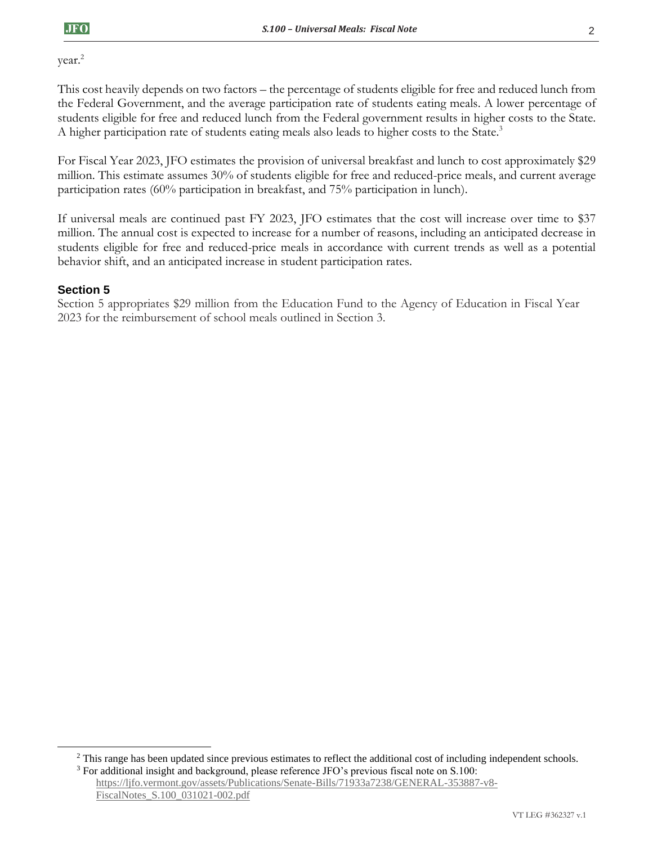year.<sup>2</sup>

This cost heavily depends on two factors – the percentage of students eligible for free and reduced lunch from the Federal Government, and the average participation rate of students eating meals. A lower percentage of students eligible for free and reduced lunch from the Federal government results in higher costs to the State. A higher participation rate of students eating meals also leads to higher costs to the State.<sup>3</sup>

For Fiscal Year 2023, JFO estimates the provision of universal breakfast and lunch to cost approximately \$29 million. This estimate assumes 30% of students eligible for free and reduced-price meals, and current average participation rates (60% participation in breakfast, and 75% participation in lunch).

If universal meals are continued past FY 2023, JFO estimates that the cost will increase over time to \$37 million. The annual cost is expected to increase for a number of reasons, including an anticipated decrease in students eligible for free and reduced-price meals in accordance with current trends as well as a potential behavior shift, and an anticipated increase in student participation rates.

#### **Section 5**

Section 5 appropriates \$29 million from the Education Fund to the Agency of Education in Fiscal Year 2023 for the reimbursement of school meals outlined in Section 3.

<sup>3</sup> For additional insight and background, please reference JFO's previous fiscal note on S.100: [https://ljfo.vermont.gov/assets/Publications/Senate-Bills/71933a7238/GENERAL-353887-v8-](https://ljfo.vermont.gov/assets/Publications/Senate-Bills/71933a7238/GENERAL-353887-v8-FiscalNotes_S.100_031021-002.pdf) [FiscalNotes\\_S.100\\_031021-002.pdf](https://ljfo.vermont.gov/assets/Publications/Senate-Bills/71933a7238/GENERAL-353887-v8-FiscalNotes_S.100_031021-002.pdf)

<sup>&</sup>lt;sup>2</sup> This range has been updated since previous estimates to reflect the additional cost of including independent schools.